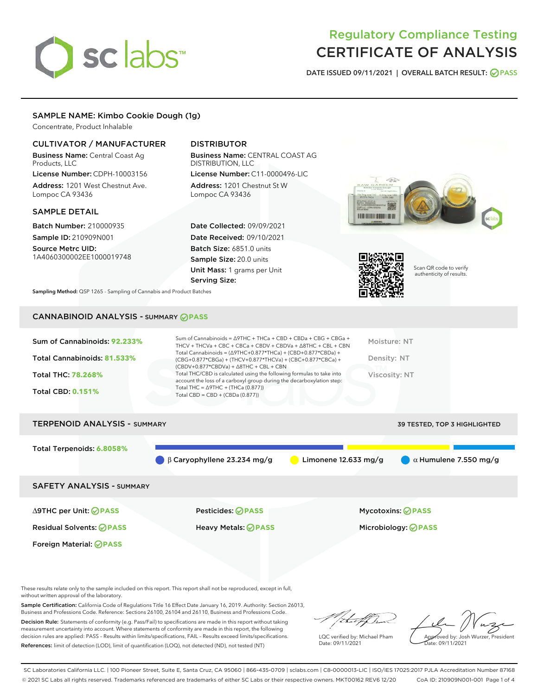# sclabs<sup>\*</sup>

# Regulatory Compliance Testing CERTIFICATE OF ANALYSIS

DATE ISSUED 09/11/2021 | OVERALL BATCH RESULT: @ PASS

# SAMPLE NAME: Kimbo Cookie Dough (1g)

Concentrate, Product Inhalable

# CULTIVATOR / MANUFACTURER

Business Name: Central Coast Ag Products, LLC

License Number: CDPH-10003156 Address: 1201 West Chestnut Ave. Lompoc CA 93436

# SAMPLE DETAIL

Batch Number: 210000935 Sample ID: 210909N001

Source Metrc UID: 1A4060300002EE1000019748

# DISTRIBUTOR

Business Name: CENTRAL COAST AG DISTRIBUTION, LLC License Number: C11-0000496-LIC

Address: 1201 Chestnut St W Lompoc CA 93436

Date Collected: 09/09/2021 Date Received: 09/10/2021 Batch Size: 6851.0 units Sample Size: 20.0 units Unit Mass: 1 grams per Unit Serving Size:





Scan QR code to verify authenticity of results.

Sampling Method: QSP 1265 - Sampling of Cannabis and Product Batches

# CANNABINOID ANALYSIS - SUMMARY **PASS**

| Sum of Cannabinoids: 92.233%<br>THCV + THCVa + CBC + CBCa + CBDV + CBDVa + $\Delta$ 8THC + CBL + CBN                                                                                                                | Moisture: NT  |
|---------------------------------------------------------------------------------------------------------------------------------------------------------------------------------------------------------------------|---------------|
| Total Cannabinoids = $(\Delta$ 9THC+0.877*THCa) + (CBD+0.877*CBDa) +<br>Total Cannabinoids: 81.533%<br>(CBG+0.877*CBGa) + (THCV+0.877*THCVa) + (CBC+0.877*CBCa) +<br>$(CBDV+0.877*CBDVa) + \Delta 8THC + CBL + CBN$ | Density: NT   |
| Total THC/CBD is calculated using the following formulas to take into<br><b>Total THC: 78.268%</b><br>account the loss of a carboxyl group during the decarboxylation step:                                         | Viscosity: NT |
| Total THC = $\triangle$ 9THC + (THCa (0.877))<br><b>Total CBD: 0.151%</b><br>Total CBD = $CBD + (CBDa (0.877))$                                                                                                     |               |

# TERPENOID ANALYSIS - SUMMARY 39 TESTED, TOP 3 HIGHLIGHTED Total Terpenoids: **6.8058%** β Caryophyllene 23.234 mg/g **a** Limonene 12.633 mg/g **a** α Humulene 7.550 mg/g SAFETY ANALYSIS - SUMMARY

Foreign Material: **PASS**

∆9THC per Unit: **PASS** Pesticides: **PASS** Mycotoxins: **PASS**

Residual Solvents: **PASS** Heavy Metals: **PASS** Microbiology: **PASS**

These results relate only to the sample included on this report. This report shall not be reproduced, except in full, without written approval of the laboratory.

Sample Certification: California Code of Regulations Title 16 Effect Date January 16, 2019. Authority: Section 26013, Business and Professions Code. Reference: Sections 26100, 26104 and 26110, Business and Professions Code.

Decision Rule: Statements of conformity (e.g. Pass/Fail) to specifications are made in this report without taking measurement uncertainty into account. Where statements of conformity are made in this report, the following decision rules are applied: PASS – Results within limits/specifications, FAIL – Results exceed limits/specifications. References: limit of detection (LOD), limit of quantification (LOQ), not detected (ND), not tested (NT)

LQC verified by: Michael Pham Date: 09/11/2021

Approved by: Josh Wurzer, President ate: 09/11/2021

SC Laboratories California LLC. | 100 Pioneer Street, Suite E, Santa Cruz, CA 95060 | 866-435-0709 | sclabs.com | C8-0000013-LIC | ISO/IES 17025:2017 PJLA Accreditation Number 87168 © 2021 SC Labs all rights reserved. Trademarks referenced are trademarks of either SC Labs or their respective owners. MKT00162 REV6 12/20 CoA ID: 210909N001-001 Page 1 of 4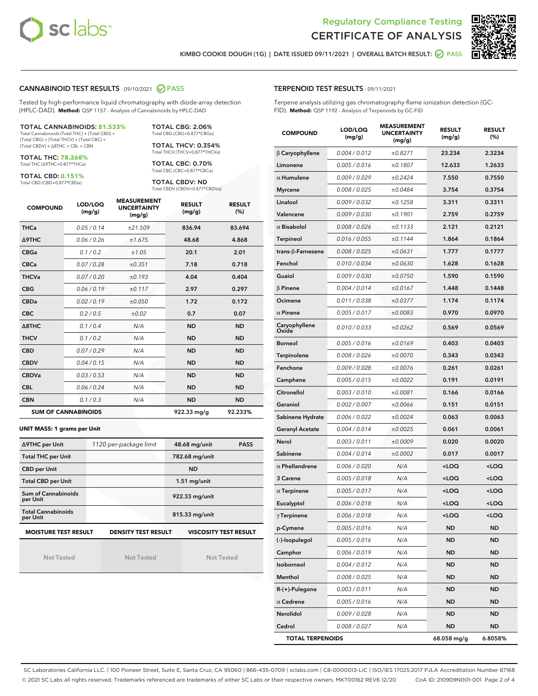



KIMBO COOKIE DOUGH (1G) | DATE ISSUED 09/11/2021 | OVERALL BATCH RESULT: @ PASS

#### CANNABINOID TEST RESULTS - 09/10/2021 2 PASS

Tested by high-performance liquid chromatography with diode-array detection (HPLC-DAD). **Method:** QSP 1157 - Analysis of Cannabinoids by HPLC-DAD

#### TOTAL CANNABINOIDS: **81.533%**

Total Cannabinoids (Total THC) + (Total CBD) + (Total CBG) + (Total THCV) + (Total CBC) + (Total CBDV) + ∆8THC + CBL + CBN

TOTAL THC: **78.268%** Total THC (∆9THC+0.877\*THCa)

TOTAL CBD: **0.151%**

Total CBD (CBD+0.877\*CBDa)

TOTAL CBG: 2.06% Total CBG (CBG+0.877\*CBGa)

TOTAL THCV: 0.354% Total THCV (THCV+0.877\*THCVa)

TOTAL CBC: 0.70% Total CBC (CBC+0.877\*CBCa)

TOTAL CBDV: ND Total CBDV (CBDV+0.877\*CBDVa)

| <b>COMPOUND</b>  | LOD/LOQ<br>(mg/g)          | <b>MEASUREMENT</b><br><b>UNCERTAINTY</b><br>(mg/g) | <b>RESULT</b><br>(mg/g) | <b>RESULT</b><br>(%) |
|------------------|----------------------------|----------------------------------------------------|-------------------------|----------------------|
| <b>THCa</b>      | 0.05/0.14                  | ±21.509                                            | 836.94                  | 83.694               |
| <b>A9THC</b>     | 0.06 / 0.26                | ±1.675                                             | 48.68                   | 4.868                |
| <b>CBGa</b>      | 0.1/0.2                    | ±1.05                                              | 20.1                    | 2.01                 |
| <b>CBCa</b>      | 0.07/0.28                  | ±0.351                                             | 7.18                    | 0.718                |
| <b>THCVa</b>     | 0.07/0.20                  | ±0.193                                             | 4.04                    | 0.404                |
| <b>CBG</b>       | 0.06/0.19                  | ±0.117                                             | 2.97                    | 0.297                |
| <b>CBDa</b>      | 0.02/0.19                  | ±0.050                                             | 1.72                    | 0.172                |
| <b>CBC</b>       | 0.2 / 0.5                  | ±0.02                                              | 0.7                     | 0.07                 |
| $\triangle$ 8THC | 0.1/0.4                    | N/A                                                | <b>ND</b>               | <b>ND</b>            |
| <b>THCV</b>      | 0.1/0.2                    | N/A                                                | <b>ND</b>               | <b>ND</b>            |
| <b>CBD</b>       | 0.07/0.29                  | N/A                                                | <b>ND</b>               | <b>ND</b>            |
| <b>CBDV</b>      | 0.04 / 0.15                | N/A                                                | <b>ND</b>               | <b>ND</b>            |
| <b>CBDVa</b>     | 0.03/0.53                  | N/A                                                | <b>ND</b>               | <b>ND</b>            |
| <b>CBL</b>       | 0.06 / 0.24                | N/A                                                | <b>ND</b>               | <b>ND</b>            |
| <b>CBN</b>       | 0.1/0.3                    | N/A                                                | <b>ND</b>               | <b>ND</b>            |
|                  | <b>SUM OF CANNABINOIDS</b> |                                                    | 922.33 mg/g             | 92.233%              |

#### **UNIT MASS: 1 grams per Unit**

| ∆9THC per Unit                        | 1120 per-package limit     | 48.68 mg/unit<br><b>PASS</b> |  |  |
|---------------------------------------|----------------------------|------------------------------|--|--|
| <b>Total THC per Unit</b>             |                            | 782.68 mg/unit               |  |  |
| <b>CBD per Unit</b>                   |                            | <b>ND</b>                    |  |  |
| <b>Total CBD per Unit</b>             |                            | $1.51$ mg/unit               |  |  |
| Sum of Cannabinoids<br>per Unit       |                            | 922.33 mg/unit               |  |  |
| <b>Total Cannabinoids</b><br>per Unit |                            | 815.33 mg/unit               |  |  |
| <b>MOISTURE TEST RESULT</b>           | <b>DENSITY TEST RESULT</b> | <b>VISCOSITY TEST RESULT</b> |  |  |

Not Tested

Not Tested

Not Tested

#### TERPENOID TEST RESULTS - 09/11/2021

Terpene analysis utilizing gas chromatography-flame ionization detection (GC-FID). **Method:** QSP 1192 - Analysis of Terpenoids by GC-FID

| <b>COMPOUND</b>         | LOD/LOQ<br>(mg/g) | <b>MEASUREMENT</b><br><b>UNCERTAINTY</b><br>(mg/g) | <b>RESULT</b><br>(mg/g)                          | <b>RESULT</b><br>$(\%)$ |
|-------------------------|-------------------|----------------------------------------------------|--------------------------------------------------|-------------------------|
| $\beta$ Caryophyllene   | 0.004 / 0.012     | ±0.8271                                            | 23.234                                           | 2.3234                  |
| Limonene                | 0.005 / 0.016     | ±0.1807                                            | 12.633                                           | 1.2633                  |
| $\alpha$ Humulene       | 0.009/0.029       | ±0.2424                                            | 7.550                                            | 0.7550                  |
| <b>Myrcene</b>          | 0.008 / 0.025     | ±0.0484                                            | 3.754                                            | 0.3754                  |
| Linalool                | 0.009 / 0.032     | ±0.1258                                            | 3.311                                            | 0.3311                  |
| Valencene               | 0.009 / 0.030     | ±0.1901                                            | 2.759                                            | 0.2759                  |
| $\alpha$ Bisabolol      | 0.008 / 0.026     | ±0.1133                                            | 2.121                                            | 0.2121                  |
| Terpineol               | 0.016 / 0.055     | ±0.1144                                            | 1.864                                            | 0.1864                  |
| trans-β-Farnesene       | 0.008 / 0.025     | ±0.0631                                            | 1.777                                            | 0.1777                  |
| Fenchol                 | 0.010 / 0.034     | ±0.0630                                            | 1.628                                            | 0.1628                  |
| Guaiol                  | 0.009 / 0.030     | ±0.0750                                            | 1.590                                            | 0.1590                  |
| $\beta$ Pinene          | 0.004 / 0.014     | ±0.0167                                            | 1.448                                            | 0.1448                  |
| Ocimene                 | 0.011 / 0.038     | ±0.0377                                            | 1.174                                            | 0.1174                  |
| $\alpha$ Pinene         | 0.005 / 0.017     | ±0.0083                                            | 0.970                                            | 0.0970                  |
| Caryophyllene<br>Oxide  | 0.010 / 0.033     | ±0.0262                                            | 0.569                                            | 0.0569                  |
| <b>Borneol</b>          | 0.005 / 0.016     | ±0.0169                                            | 0.403                                            | 0.0403                  |
| Terpinolene             | 0.008 / 0.026     | ±0.0070                                            | 0.343                                            | 0.0343                  |
| Fenchone                | 0.009 / 0.028     | ±0.0076                                            | 0.261                                            | 0.0261                  |
| Camphene                | 0.005 / 0.015     | ±0.0022                                            | 0.191                                            | 0.0191                  |
| Citronellol             | 0.003 / 0.010     | ±0.0081                                            | 0.166                                            | 0.0166                  |
| Geraniol                | 0.002 / 0.007     | ±0.0066                                            | 0.151                                            | 0.0151                  |
| Sabinene Hydrate        | 0.006 / 0.022     | ±0.0024                                            | 0.063                                            | 0.0063                  |
| <b>Geranyl Acetate</b>  | 0.004 / 0.014     | ±0.0025                                            | 0.061                                            | 0.0061                  |
| Nerol                   | 0.003 / 0.011     | ±0.0009                                            | 0.020                                            | 0.0020                  |
| Sabinene                | 0.004 / 0.014     | ±0.0002                                            | 0.017                                            | 0.0017                  |
| $\alpha$ Phellandrene   | 0.006 / 0.020     | N/A                                                | <loq< th=""><th><loq< th=""></loq<></th></loq<>  | <loq< th=""></loq<>     |
| 3 Carene                | 0.005 / 0.018     | N/A                                                | $<$ LOQ                                          | $<$ LOQ                 |
| $\alpha$ Terpinene      | 0.005 / 0.017     | N/A                                                | 100                                              | <loq< th=""></loq<>     |
| Eucalyptol              | 0.006 / 0.018     | N/A                                                | <loq< th=""><th><loq< th=""></loq<></th></loq<>  | <loq< th=""></loq<>     |
| $\gamma$ Terpinene      | 0.006 / 0.018     | N/A                                                | <loq< th=""><th><math>&lt;</math>LOQ</th></loq<> | $<$ LOQ                 |
| p-Cymene                | 0.005 / 0.016     | N/A                                                | ND                                               | ND                      |
| (-)-Isopulegol          | 0.005 / 0.016     | N/A                                                | ND                                               | ND                      |
| Camphor                 | 0.006 / 0.019     | N/A                                                | ND                                               | ND                      |
| Isoborneol              | 0.004 / 0.012     | N/A                                                | ND                                               | <b>ND</b>               |
| Menthol                 | 0.008 / 0.025     | N/A                                                | ND                                               | ND                      |
| R-(+)-Pulegone          | 0.003 / 0.011     | N/A                                                | ND                                               | ND                      |
| $\alpha$ Cedrene        | 0.005 / 0.016     | N/A                                                | ND                                               | <b>ND</b>               |
| Nerolidol               | 0.009 / 0.028     | N/A                                                | ND                                               | ND                      |
| Cedrol                  | 0.008 / 0.027     | N/A                                                | <b>ND</b>                                        | ND                      |
| <b>TOTAL TERPENOIDS</b> |                   |                                                    | 68.058 mg/g                                      | 6.8058%                 |

SC Laboratories California LLC. | 100 Pioneer Street, Suite E, Santa Cruz, CA 95060 | 866-435-0709 | sclabs.com | C8-0000013-LIC | ISO/IES 17025:2017 PJLA Accreditation Number 87168 © 2021 SC Labs all rights reserved. Trademarks referenced are trademarks of either SC Labs or their respective owners. MKT00162 REV6 12/20 CoA ID: 210909N001-001 Page 2 of 4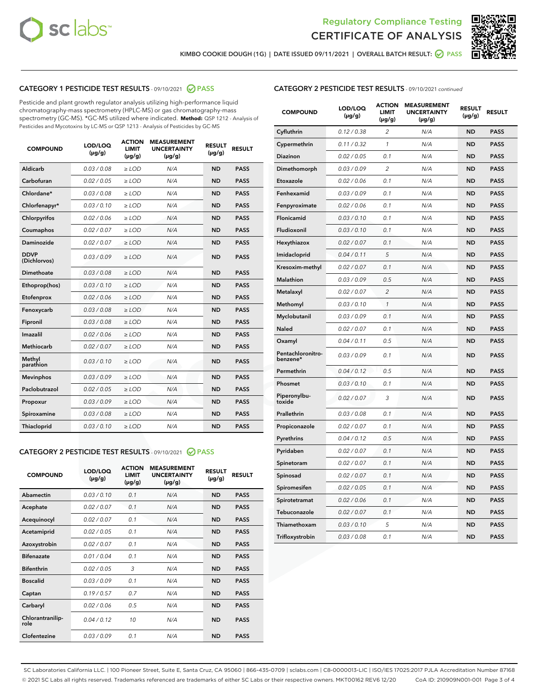



KIMBO COOKIE DOUGH (1G) | DATE ISSUED 09/11/2021 | OVERALL BATCH RESULT: <mark>⊘</mark> PASS

# CATEGORY 1 PESTICIDE TEST RESULTS - 09/10/2021 2 PASS

Pesticide and plant growth regulator analysis utilizing high-performance liquid chromatography-mass spectrometry (HPLC-MS) or gas chromatography-mass spectrometry (GC-MS). \*GC-MS utilized where indicated. **Method:** QSP 1212 - Analysis of Pesticides and Mycotoxins by LC-MS or QSP 1213 - Analysis of Pesticides by GC-MS

| <b>COMPOUND</b>             | LOD/LOQ<br>$(\mu g/g)$ | <b>ACTION</b><br><b>LIMIT</b><br>$(\mu g/g)$ | <b>MEASUREMENT</b><br><b>UNCERTAINTY</b><br>$(\mu g/g)$ | <b>RESULT</b><br>$(\mu g/g)$ | <b>RESULT</b> |
|-----------------------------|------------------------|----------------------------------------------|---------------------------------------------------------|------------------------------|---------------|
| Aldicarb                    | 0.03 / 0.08            | $\geq$ LOD                                   | N/A                                                     | <b>ND</b>                    | <b>PASS</b>   |
| Carbofuran                  | 0.02/0.05              | $\ge$ LOD                                    | N/A                                                     | <b>ND</b>                    | <b>PASS</b>   |
| Chlordane*                  | 0.03 / 0.08            | $\ge$ LOD                                    | N/A                                                     | <b>ND</b>                    | <b>PASS</b>   |
| Chlorfenapyr*               | 0.03/0.10              | $\ge$ LOD                                    | N/A                                                     | <b>ND</b>                    | <b>PASS</b>   |
| Chlorpyrifos                | 0.02 / 0.06            | $\ge$ LOD                                    | N/A                                                     | <b>ND</b>                    | <b>PASS</b>   |
| Coumaphos                   | 0.02 / 0.07            | $\ge$ LOD                                    | N/A                                                     | <b>ND</b>                    | <b>PASS</b>   |
| Daminozide                  | 0.02 / 0.07            | $\ge$ LOD                                    | N/A                                                     | <b>ND</b>                    | <b>PASS</b>   |
| <b>DDVP</b><br>(Dichlorvos) | 0.03/0.09              | $\ge$ LOD                                    | N/A                                                     | <b>ND</b>                    | <b>PASS</b>   |
| Dimethoate                  | 0.03/0.08              | $\ge$ LOD                                    | N/A                                                     | <b>ND</b>                    | <b>PASS</b>   |
| Ethoprop(hos)               | 0.03/0.10              | $\ge$ LOD                                    | N/A                                                     | <b>ND</b>                    | <b>PASS</b>   |
| Etofenprox                  | 0.02/0.06              | $\ge$ LOD                                    | N/A                                                     | <b>ND</b>                    | <b>PASS</b>   |
| Fenoxycarb                  | 0.03/0.08              | $\ge$ LOD                                    | N/A                                                     | <b>ND</b>                    | <b>PASS</b>   |
| Fipronil                    | 0.03/0.08              | $\ge$ LOD                                    | N/A                                                     | <b>ND</b>                    | <b>PASS</b>   |
| Imazalil                    | 0.02 / 0.06            | $\ge$ LOD                                    | N/A                                                     | <b>ND</b>                    | <b>PASS</b>   |
| <b>Methiocarb</b>           | 0.02 / 0.07            | $\ge$ LOD                                    | N/A                                                     | <b>ND</b>                    | <b>PASS</b>   |
| Methyl<br>parathion         | 0.03/0.10              | $\ge$ LOD                                    | N/A                                                     | <b>ND</b>                    | <b>PASS</b>   |
| <b>Mevinphos</b>            | 0.03/0.09              | $\ge$ LOD                                    | N/A                                                     | <b>ND</b>                    | <b>PASS</b>   |
| Paclobutrazol               | 0.02 / 0.05            | $\ge$ LOD                                    | N/A                                                     | <b>ND</b>                    | <b>PASS</b>   |
| Propoxur                    | 0.03/0.09              | $\ge$ LOD                                    | N/A                                                     | <b>ND</b>                    | <b>PASS</b>   |
| Spiroxamine                 | 0.03/0.08              | $\ge$ LOD                                    | N/A                                                     | <b>ND</b>                    | <b>PASS</b>   |
| <b>Thiacloprid</b>          | 0.03/0.10              | $\ge$ LOD                                    | N/A                                                     | <b>ND</b>                    | <b>PASS</b>   |
|                             |                        |                                              |                                                         |                              |               |

# CATEGORY 2 PESTICIDE TEST RESULTS - 09/10/2021 @ PASS

| <b>COMPOUND</b>          | LOD/LOO<br>$(\mu g/g)$ | <b>ACTION</b><br>LIMIT<br>$(\mu g/g)$ | <b>MEASUREMENT</b><br><b>UNCERTAINTY</b><br>$(\mu g/g)$ | <b>RESULT</b><br>$(\mu g/g)$ | <b>RESULT</b> |  |
|--------------------------|------------------------|---------------------------------------|---------------------------------------------------------|------------------------------|---------------|--|
| Abamectin                | 0.03/0.10              | 0.1                                   | N/A                                                     | <b>ND</b>                    | <b>PASS</b>   |  |
| Acephate                 | 0.02/0.07              | 0.1                                   | N/A                                                     | <b>ND</b>                    | <b>PASS</b>   |  |
| Acequinocyl              | 0.02/0.07              | 0.1                                   | N/A                                                     | <b>ND</b>                    | <b>PASS</b>   |  |
| Acetamiprid              | 0.02/0.05              | 0.1                                   | N/A                                                     | <b>ND</b>                    | <b>PASS</b>   |  |
| Azoxystrobin             | 0.02/0.07              | 0.1                                   | N/A                                                     | <b>ND</b>                    | <b>PASS</b>   |  |
| <b>Bifenazate</b>        | 0.01/0.04              | 0.1                                   | N/A                                                     | <b>ND</b>                    | <b>PASS</b>   |  |
| <b>Bifenthrin</b>        | 0.02/0.05              | 3                                     | N/A                                                     | <b>ND</b>                    | <b>PASS</b>   |  |
| <b>Boscalid</b>          | 0.03/0.09              | 0.1                                   | N/A                                                     | <b>ND</b>                    | <b>PASS</b>   |  |
| Captan                   | 0.19/0.57              | 0.7                                   | N/A                                                     | <b>ND</b>                    | <b>PASS</b>   |  |
| Carbaryl                 | 0.02/0.06              | 0.5                                   | N/A                                                     | <b>ND</b>                    | <b>PASS</b>   |  |
| Chlorantranilip-<br>role | 0.04/0.12              | 10                                    | N/A                                                     | <b>ND</b>                    | <b>PASS</b>   |  |
| Clofentezine             | 0.03/0.09              | 0.1                                   | N/A                                                     | <b>ND</b>                    | <b>PASS</b>   |  |

| <b>CATEGORY 2 PESTICIDE TEST RESULTS</b> - 09/10/2021 continued |
|-----------------------------------------------------------------|
|-----------------------------------------------------------------|

| <b>COMPOUND</b>               | LOD/LOQ<br>(µg/g) | <b>ACTION</b><br><b>LIMIT</b><br>$(\mu g/g)$ | <b>MEASUREMENT</b><br><b>UNCERTAINTY</b><br>$(\mu g/g)$ | <b>RESULT</b><br>(µg/g) | <b>RESULT</b> |
|-------------------------------|-------------------|----------------------------------------------|---------------------------------------------------------|-------------------------|---------------|
| Cyfluthrin                    | 0.12 / 0.38       | $\overline{\mathcal{L}}$                     | N/A                                                     | ND                      | <b>PASS</b>   |
| Cypermethrin                  | 0.11 / 0.32       | 1                                            | N/A                                                     | <b>ND</b>               | <b>PASS</b>   |
| Diazinon                      | 0.02 / 0.05       | 0.1                                          | N/A                                                     | <b>ND</b>               | <b>PASS</b>   |
| Dimethomorph                  | 0.03 / 0.09       | 2                                            | N/A                                                     | ND                      | <b>PASS</b>   |
| Etoxazole                     | 0.02 / 0.06       | 0.1                                          | N/A                                                     | <b>ND</b>               | <b>PASS</b>   |
| Fenhexamid                    | 0.03 / 0.09       | 0.1                                          | N/A                                                     | <b>ND</b>               | <b>PASS</b>   |
| Fenpyroximate                 | 0.02 / 0.06       | 0.1                                          | N/A                                                     | ND                      | <b>PASS</b>   |
| Flonicamid                    | 0.03 / 0.10       | 0.1                                          | N/A                                                     | ND                      | <b>PASS</b>   |
| Fludioxonil                   | 0.03 / 0.10       | 0.1                                          | N/A                                                     | <b>ND</b>               | <b>PASS</b>   |
| Hexythiazox                   | 0.02 / 0.07       | 0.1                                          | N/A                                                     | <b>ND</b>               | <b>PASS</b>   |
| Imidacloprid                  | 0.04 / 0.11       | 5                                            | N/A                                                     | ND                      | <b>PASS</b>   |
| Kresoxim-methyl               | 0.02 / 0.07       | 0.1                                          | N/A                                                     | <b>ND</b>               | <b>PASS</b>   |
| Malathion                     | 0.03 / 0.09       | 0.5                                          | N/A                                                     | ND                      | <b>PASS</b>   |
| Metalaxyl                     | 0.02 / 0.07       | $\overline{2}$                               | N/A                                                     | ND                      | <b>PASS</b>   |
| Methomyl                      | 0.03 / 0.10       | 1                                            | N/A                                                     | <b>ND</b>               | <b>PASS</b>   |
| Myclobutanil                  | 0.03 / 0.09       | 0.1                                          | N/A                                                     | <b>ND</b>               | <b>PASS</b>   |
| Naled                         | 0.02 / 0.07       | 0.1                                          | N/A                                                     | ND                      | <b>PASS</b>   |
| Oxamyl                        | 0.04 / 0.11       | 0.5                                          | N/A                                                     | ND                      | <b>PASS</b>   |
| Pentachloronitro-<br>benzene* | 0.03 / 0.09       | 0.1                                          | N/A                                                     | <b>ND</b>               | <b>PASS</b>   |
| Permethrin                    | 0.04 / 0.12       | 0.5                                          | N/A                                                     | ND                      | <b>PASS</b>   |
| Phosmet                       | 0.03/0.10         | 0.1                                          | N/A                                                     | ND                      | <b>PASS</b>   |
| Piperonylbu-<br>toxide        | 0.02 / 0.07       | 3                                            | N/A                                                     | ND                      | <b>PASS</b>   |
| Prallethrin                   | 0.03 / 0.08       | 0.1                                          | N/A                                                     | ND                      | <b>PASS</b>   |
| Propiconazole                 | 0.02 / 0.07       | 0.1                                          | N/A                                                     | ND                      | <b>PASS</b>   |
| Pyrethrins                    | 0.04 / 0.12       | 0.5                                          | N/A                                                     | ND                      | <b>PASS</b>   |
| Pyridaben                     | 0.02 / 0.07       | 0.1                                          | N/A                                                     | <b>ND</b>               | <b>PASS</b>   |
| Spinetoram                    | 0.02 / 0.07       | 0.1                                          | N/A                                                     | ND                      | <b>PASS</b>   |
| Spinosad                      | 0.02 / 0.07       | 0.1                                          | N/A                                                     | ND                      | <b>PASS</b>   |
| Spiromesifen                  | 0.02 / 0.05       | 0.1                                          | N/A                                                     | ND                      | <b>PASS</b>   |
| Spirotetramat                 | 0.02 / 0.06       | 0.1                                          | N/A                                                     | ND                      | <b>PASS</b>   |
| Tebuconazole                  | 0.02 / 0.07       | 0.1                                          | N/A                                                     | ND                      | <b>PASS</b>   |
| Thiamethoxam                  | 0.03 / 0.10       | 5                                            | N/A                                                     | ND                      | <b>PASS</b>   |
| Trifloxystrobin               | 0.03 / 0.08       | 0.1                                          | N/A                                                     | ND                      | <b>PASS</b>   |

SC Laboratories California LLC. | 100 Pioneer Street, Suite E, Santa Cruz, CA 95060 | 866-435-0709 | sclabs.com | C8-0000013-LIC | ISO/IES 17025:2017 PJLA Accreditation Number 87168 © 2021 SC Labs all rights reserved. Trademarks referenced are trademarks of either SC Labs or their respective owners. MKT00162 REV6 12/20 CoA ID: 210909N001-001 Page 3 of 4